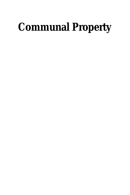# **Communal Property**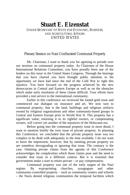### **Stuart E. Eizenstat** UNDER SECRETARY OF STATE FOR ECONOMIC, BUSINESS, AND AGRICULTURAL AFFAIRS UNITED STATES

#### Plenary Session on Nazi-Confiscated Communal Property

Mr. Chairman, I want to thank you for agreeing to preside over our sessions on communal property today. As Chairman of the House International Relations Committee, you have proudly been one of the leaders on this issue in the United States Congress. Through the hearings that you have chaired you have brought public attention to the opportunity we have had since the end of the Cold War to right this injustice. You have focused on the progress achieved by the new democracies in Central and Eastern Europe as well as on the obstacles which make early resolution of these claims difficult. Your efforts have provided a real service to the international community.

Earlier in this conference we reviewed the looted gold issue and commenced our dialogue on insurance and art. We now turn to communal property, that is the land, buildings and religious artifacts owned by religious organizations and other community-based groups in Central and Eastern Europe prior to World War II. This property has a significant value; returning it to its rightful owners, or compensating owners, will correct yet another of the injustices of the Holocaust era.

Before going into the communal property issue in more detail, I want to mention briefly the twin issue of private property. In planning this Conference, we concluded that the private property issue was too complex to be dealt with adequately in the time available. I do not want to leave the impression, however, that by omitting private property we are somehow downgrading or ignoring that issue. The contrary is the case. Omitting private claims from the agenda of this Conference acknowledges the complexities which those claims pose and the need to consider that issue in a different context. But it is essential that governments make a start to return private – or pay compensation.

Communal property was one of the early targets of the Nazi regime. By expropriating churches, synagogues and other community-controlled property – such as community centers and schools – the Nazis denied religious communities the temporal facilities which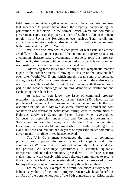held those communities together. After the war, the authoritarian regimes that succeeded to power nationalized the property, compounding the persecution of the Nazis. In the former Soviet Union, the communist government expropriated property as part of Stalin's effort to eliminate religion from Soviet life. Religious objects, such as Torah scrolls and artifacts of a religious nature, also fell victim to authoritarian regimes both during and after World War II.

While the circumstances of each parcel of real estate and artifact are different, the component parts of the communal property issue share a common characteristic: governments improperly took this property from the rightful owners without compensation. Now it is our common responsibility to ensure that, finally, justice is done.

Addressing these issues in a forthright and sympathetic manner is part of the broader process of moving to closure on the questions left open after World War II and which merely became more complicated during the Cold War. For those states which gained independence as a result of the collapse of the Soviet Union, dealing with these issues is part of the broader challenge of building democratic institutions and establishing the rule of law.

As many of you know, the issue of communal property restitution has a special importance for me. Since 1995, I have had the privilege of leading a U.S. government initiative to promote the just resolution of this issue. My role as special envoy has brought me both satisfaction and frustration. Satisfaction during visits to communities of Holocaust survivors in Central and Eastern Europe which have endured 50 years of oppression under Nazi and Communist governments. Satisfaction to see that many are rebuilding their communities. Frustration that these double victims – who lost nearly everything to the Nazis and who endured another 40 years of repression under communist governments – continue to see justice delayed.

The U.S. Government encourages the return of communal property, and supports the revitalization of religious and other communities. We want to see schools and community centers included in the process. We encourage governments to establish equitable, transparent and non-discriminatory procedures to evaluate specific claims, and to work closely with local religious communities to resolve those claims. We feel that cemeteries should never be desecrated or used for any other purpose – to maintain in dignity those buried there.

Let me cite one example of a restitution success story which I believe is symbolic of the kind of property transfer which can benefit us all. Part-of the commemoration of the 60th anniversary of Kristallnacht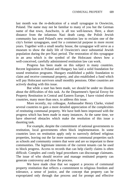last month was the re-dedication of a small synagogue in Oswiecim, Poland. The name may not be familiar to many of you but the German name of that town, Auschwitz, is all too well-known. Here, a short distance from the infamous Nazi death camp, the Polish Jewish community has used Poland's new restitution law to reclaim one of the city's former synagogues, used for a commercial purpose in more recent years. Together with a small nearby house, the synagogue will serve as a museum to show the daily life of Oswiecim's once substantial Jewish population during the pre-Nazi period. The restoration of this synagogue in an area which is the symbol of the Holocaust shows how a well-conceived, carefully administered restitution law can work.

Progress has been made on this subject in many countries. Recent legislation in Poland and Hungary has laid a solid foundation for sound restitution programs. Hungary established a public foundation to claim and receive communal property, and also established a fund which will pay Holocaust survivors small monthly pensions. Other countries are actively dealing with this issue.

But while a start has been made, we should be under no illusion about the difficulties of this task. As the Department's Special Envoy for Property Restitution in Central and Eastern Europe, I have visited eleven countries, many more than once, to address this issue.

More recently, my colleague, Ambassador Henry Clarke, visited several countries to gain a more detailed appreciation of the complexities of restituting communal property. We have both been impressed with the progress which has been made in many instances. At the same time, we have observed obstacles which make the resolution of this issue a daunting task.

For example, despite the commitment of national governments to restitution, local governments often block implementation. In some countries laws on restitution apply only to narrowly defined religious properties, leaving out the far more numerous communal properties such as schools and community centers that were and are so important to these communities. The legitimate interests of the current tenants can be used to block progress. Access to records that can help clarify claims is often difficult. Complex and costly legal procedures can discourage claimants. The issue of who should receive and manage restituted property can generate controversy and slow the process.

We have made clear that we support a process of communal property restitution that reflects a commitment to religious freedom and tolerance, a sense of justice, and the concept that property can be expropriated only through due process and for prompt and effective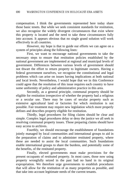compensation. I think the governments represented here today share those basic tenets. But while we seek consistent standards for restitution, we also recognize the widely divergent circumstances that exist where this property is located and the need to take these circumstances fully into account. It appears obvious that no single grand solution will work effectively in all countries.

However, my hope is that to guide our efforts we can agree on a system of principles along the following lines:

First, we want to encourage national governments to take the necessary steps to ensure that restitution policies established by the national government are implemented at regional and municipal levels of government. Differences between various levels of government should not thwart the effort to return property to legitimate owners. Having a federal government ourselves, we recognize the constitutional and legal problems which can arise on issues having implications at both national and local levels. Nevertheless, I would hope that we in this Conference could agree that the resolution of this issue requires each country to have some uniformity of policy and administrative practice in this area.

Secondly, as a general principle, communal property should be eligible for restitution irrespective of whether the property had a religious or a secular use. There may be cases of secular property such as extensive agricultural land or factories for which restitution is not possible. Fair treatment may require new legislation which more properly defines and describes property eligible for restitution.

Thirdly, legal procedures for filing claims should be clear and simple. Complex legal procedures delay or deny the justice we all seek in resolving communal property issues. Those preparing claims should have easy access to archives.

Fourthly, we should encourage the establishment of foundations jointly managed by local communities and international groups to aid in the preparation of claims and to administer restituted property, where these are needed to assist the local communities. Such foundations enable international groups to share the burdens, and potentially some of the benefits, of the restituted property.

Finally, elected governments must make provisions for the present occupants of restituted property. In most cases, those now using property wrongfully seized in the past had no hand in its original expropriation. We therefore urge governments to establish procedures that will allow for the restitution of as many properties as possible, and that take into account legitimate needs of the current tenants.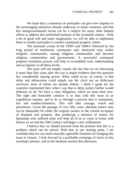We hope that a consensus on principles can give new impetus to the encouraging initiatives already underway in many countries, and that this intergovernmental forum can be a catalyst for many other belated efforts to address this unfinished business of the twentieth century. With a bit of good will and some imagination, we will be able to implement these or similar principles to resolve communal property claims.

The traumatic events of the 1930's and 1940'sr followed by the long period of totalitarian communist rule, destroyed trust within religious communities, among religious communities and between religious communities and governments. A successful communal property restitution process will help to re-establish trust, understanding and acceptance at all these levels.

The issue will not simply vanish; the fact that we are discussing it more than fifty years after the war is ample evidence that this question has considerable staying power. What could occur, of course, is that delay and obfuscation could simply run the clock out on Holocaust survivors, most of whom are already elderly. I think I speak for the countries represented here when I say that to delay justice further would dishonor us all. We have a clear obligation, which we must meet now. The right and honorable solution is to deal with this issue in an expeditious manner, and to do so through a process that is transparent, fair and nondiscriminatory. This will take courage, vision and persistence. Given the passage of over fifty years, absolute justice may not be obtainable for either the original owners or the current occupants of disputed real property. But producing a measure of justice for thousands who suffered most will help all of us to come to terms with history as we end the 20th Century and begin a new millennium.

I believe that we should proceed from the premise that this is a problem which can be solved. With that as our starting point, I am confidant that we can reach mutually agreeable formulas for bringing this issue to closure. I look forward to a profitable exchange of views in this morning's plenary, and in the breakout session this afternoon.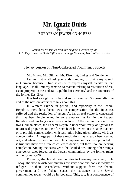# **Mr. Ignatz Bubis** PRESIDENT EUROPEAN JEWISH CONGRESS

*Statement translated from the original German by the U.S. Department of State Office of Language Services, Translating Division*

Plenary Session on Nazi-Confiscated Communal Property

Mr. Mikva, Mr. Gilman, Mr. Eizenstat, Ladies and Gentlemen:

Let me first of all ask your understanding for giving my speech in German, because I find it easier to express myself clearly in that language. I shall limit my remarks to matters relating to restitution of real estate property in the Federal Republic [of Germany] and the countries of the former East Bloc.

It is bad enough that it has taken us more than 50 years after the end of the nazi dictatorship to talk about this.

In Western Europe in general, and especially in the Federal Republic, there have been laws on compensation for the injustices suffered and the restitution of assets. As far as real estate is concerned, this has been implemented in an exemplary fashion in the Federal Republic and has long since been concluded. After the unification of the two German states, the Federal Republic undertook treaty obligations to return real properties to their former Jewish owners in the same manner, or to provide compensation, with restitution being given priority vis-à-vis compensation. A large part of these restitutions has already been carried out, and where this was not possible, compensation has been provided. It is true that there are a few cases left to decide, but they, too, are nearing completion. Among the cases yet to be decided are, among other things, emergency sales forced on the Jewish communities by the former rulers of the former GDR.

Formerly, the Jewish communities in Germany were very rich. Today, the new Jewish communities are very poor and consist mostly of refugees or their descendents. Without support form the federal government and the federal states, the existence of the Jewish communities today would be in jeopardy. This, too, is a consequence of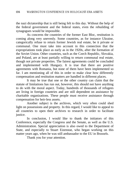the nazi dictatorship that is still being felt to this day. Without the help of the federal government and the federal states, even the rebuilding of synagogues would be impossible.

As concerns the countries of the former East Bloc, restitution is coming along very unevenly. Some countries, as for instance Ukraine, categorically refuse to return former Jewish real estate, be it private or communal. One must take into account in this connection that the expropriations took place as early as in the 1920s, after the formation of the Soviet Union. Other countries, such as the Czech Republic, Slovakia, and Poland, are at least partially willing to return communal real estate, though not private properties. The fairest agreements could be concluded and implemented with Hungary. It is true that there are positive agreements with Romania, but none of them have been implemented so far. I am mentioning all of this in order to make clear how differently compensation and restitution matters are handled in different places.

It may be true that one or the other country can claim that the statute of limitations has run out, however, this should not have anything to do with the moral aspect. Today, hundreds of thousands of refugees are living in foreign countries and are still dependent on assistance by charitable organizations. These people must receive assistance through compensation for heir-less assets.

Another subject is the archives, which very often could shed light on possessions and property. In this regard, I would like to appeal to all countries to open their archives to research in order to facilitate justice.

In conclusion, I would like to thank the initiators of this Conference, especially the Congress and the Senate, as well as the U.S. Administration. Special appreciation is also owed to the Department of State, and especially to Stuart Eizenstat, who began working on this matter years ago, when he was still ambassador to the EU in Brussels.

Thank you for your attention.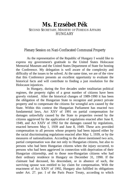# **Ms. Erzsébet Pék** SECOND SECRETARY, MINISTRY OF FOREIGN AFFAIRS **HUNGARY**

#### Plenary Session on Nazi-Confiscated Communal Property

As the representative of the Republic of Hungary I would like to express my government's gratitude to the United States Holocaust Memorial Museum and the United States Department of State for hosting the Conference. My delegation is well aware of the complexity and difficulty of the issues to be solved. At the same time, we are of the view that this Conference presents an excellent opportunity to evaluate the historical facts and will contribute to finding a just resolution for the Holocaust injustices.

In Hungary, during the five decades under totalitarian political regimes, the property rights of a great number of citizens have been gravely violated. After the historical changes of 1989-1990 it has been the obligation of the Hungarian State to recognize and protect private property and to compensate the citizens for wrongful acts caused by the State. Within this context the Hungarian Parliament has enacted two fundamental laws, Act XXV of 1991 on partial compensation for damages unlawfully caused by the State to properties owned by the citizens aggrieved by the application of regulations enacted after June 8, 1949, and Act XXIV of 1992 for the damages caused by regulations, enacted between May 1, 1939 and June 8, 1949. These acts provided compensation to all persons whose property had been injured either by the racial discriminating regulations enacted after May 1, 1939, or by the measures of nationalization. According to the above mentioned two acts, partial compensation was due not only to Hungarian citizens, but also to persons who had been Hungarian citizens when the injury occurred, to persons who had been aggrieved in connection with deprivation of their Hungarian citizenship, and to those non-Hungarian citizens who had their ordinary residence in Hungary on December 31, 1990. If the claimant had deceased, his descendant, or in absence of such, the surviving spouse was entitled to lay claim for compensation. With the enactment of Act XXIV of 1992, Hungary also fulfilled its obligations under Art. 27. par. I of the Paris Peace Treaty, according to which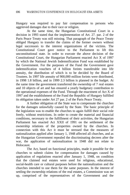Hungary was required to pay fair compensation to persons who aggrieved damages due to their race or religion.

At the same time, the Hungarian Constitutional Court in a decision in 1993 stated that the implementation of Art. 27. par. 2 of the Paris Peace Treaty was still missing. That paragraph of the Peace Treaty obliged Hungary to transfer the claims of the former owners without legal successors to the interest organizations of the victims. The Constitutional Court gave notice to the Parliament to lift this unconstitutional state. In order to execute the above decision of the Constitutional Court, the Hungarian Parliament enacted Act X of 1997 by which the National Jewish Indemnification Fund was established by the Government. For the purposes of the Fund the Government gave indemnification vouchers of 4 billion forints transferable into life annuity, the distribution of which is to be decided by the Board of Trustees. In 1997 life annuity of 900,000 million forints were distributed, in 1998 1.8 billion, and in 1999 2.3 billion is planned in the budget. At the same time the government transferred the ownership of 7 real estates and 10 objects of art and has ensured a yearly budgetary contribution to the operational expenses of the Fund. Through the enactment of Act X of 1997 and the establishment of the Fund the Republic of Hungary fulfilled its obligation taken under Art 27 par. 2 of the Paris Peace Treaty.

A further obligation of the State was to compensate the churches for the damages unlawfully caused by the State. The basic principle of the legislation was to enable the churches to again fulfill their social role freely, without restrictions. In order to create the material and financial conditions, necessary to the fulfillment of their activities, the Hungarian Parliament has enacted Act XXII of 1991 on the settlement of the ownership relations of the properties owned by the churches. In connection with this Act it must be stressed that the measures of nationalization applied after January 1, 1948 affected all churches, and as the Hungarian Government repealed the discriminating decrees after the war, the application of nationalization in 1948 did not relate to Holocaust.

The Act, based on functional principles, made it possible for the churches to submit claims for compensation for damages caused by application of regulations enacted after January 1, 1948, on condition that the claimed real estates were used for religious, educational, social-health care or cultural purposes before the nationalization and the churches intended to use them for the same purposes. In the interest of settling the ownership relations of the real estates, a Commission was set up, comprised of the representatives of the Government and the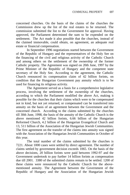concerned churches. On the basis of the claims of the churches the Commission drew up the list of the real estates to be returned. The commission submitted the list to the Government for approval. Having approved, the Parliament determined the sum to be expended on the settlement. The Act made it also possible that the churches, instead of the claimed immovable, could obtain, on agreement, an adequate real estate or financial compensation.

In September 1996 negotiations started between the Government of the Republic of Hungary and the representatives of the Holy See on the financing of the civil and religious activity of the Catholic Church and among others on the settlement of the ownership of the former Catholic property. The Agreement was signed on 20th June, 1997 by the Prime Minister of the Republic of Hungary and the competent state secretary of the Holy See. According to the agreement, the Catholic Church renounced its compensation claim of 42 billion forints, on condition that the Hungarian Government pay annuity which is to be used for financing its religious activity.

The Agreement served as a basis for a comprehensive legislative process, involving the settlement of the ownership of the churches, according to which the Parliament modified the above Act, making it possible for the churches that their claims which were to be compensated not in kind, but not yet returned, or compensated can be transferred into annuity on the basis of an agreement between the Government and the concerned church. According to the claims submitted by the churches till 30th June, 1998, the basis of the annuity of the Catholic Church is the above mentioned 42 billion forints, 6.66 billion of the Hungarian Reformed Church, 4.2 billion of the Hungarian Evangelical Church and 13, 511 billion of the Association of the Hungarian Jewish Communities. The first agreement on the transfer of the claims into annuity was signed with the Association of the Hungarian Jewish Communities in October of this year.

The total number of the claims submitted by the churches is 7221. About 1000 cases were settled by direct agreement. The number of claims settled by government decision exceeds 1065. On the basis of the above decisions, 20 billion forints were paid between 1992-97 and the Government undertook to pay further 14 billion forints as compensation due till 2001. 3380 of the submitted claims remain to be settled. 1200 of these claims were renounced by the Catholic Church for the abovementioned annuity. The Agreement between the Government of the Republic of Hungary and the Association of the Hungarian Jewish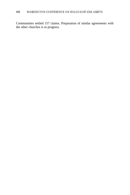Communities settled 157 claims. Preparation of similar agreements with the other churches is in progress.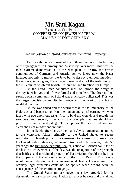# **Mr. Saul Kagan**

EXECUTIVE VICE PRESIDENT CONFERENCE ON JEWISH MATERIAL CLAIMS AGAINST GERMANY

#### Plenary Session on Nazi-Confiscated Communal Property

Last month the world marked the 60th anniversary of the burning of the synagogues in Germany and Austria by Nazi mobs. This was the most extreme demonstration- of the Nazi plans to destroy the Jewish communities of Germany and Austria. As we know now, the Nazis intended not only to murder the Jews but to destroy their communities – the schools, synagogues, the old age homes, and all of the institutions of the millennium of vibrant Jewish life, culture, and traditions in Europe.

As the Third Reich conquered most of Europe, the design to destroy Jewish lives and life was brutal and merciless. The three million strong Jewish community of Poland was practically obliterated. This was the largest Jewish community in Europe and the heart of the Jewish world at that time.

As the war ended and the world awoke to the immensity of the Holocaust and began to confront the human and social carnage, we were faced with two enormous tasks: first. to bind the wounds and resettle the survivors, and, second, to establish the principle that one should not profit from murder and pillage. To paraphrase the biblical admonition: "You shall not murder-and inherit."

Immediately after the war the major Jewish organizations turned to the victorious Allies, primarily to the United States to secure restitution for Jewish property in Germany. As a result of these efforts the United States military government introduced in November, 1947, 51 years ago, the first property restitution legislation on German soil. One of the historic achievements of this law was the recognition of the principle that heirless and unclaimed property of Nazi victims should not become the property of the successor state of the Third Reich. This was a revolutionary development in international law acknowledging that ordinary legal principles could not be applied when dealing with the consequences of this enormous tragedy.

The United States military government law provided for the designation of a successor organization to recover heirless and unclaimed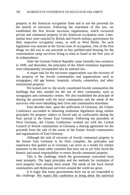property in the American occupation Zone and to use the proceeds for the benefit of survivors. Following the enactment of this law, we established the first Jewish successor organization, which recovered private and communal property in the American occupation zone. Later, similar laws were enacted by British and French military government for their respective occupation zones, as well as West Berlin. No such legislation was enacted in the Soviet zone of occupation. One of the first things we did was to use proceeds to buy prefabricated housing for the concentration camp survivors living in tents in Israel in the first year of its independence.

After the German Federal Republic came formally into existence in 1949, and thereafter, the principles of the Allied restitution legislation were subsequently incorporated into its national law.

A major task for the successor organizations was the recovery of the property of the Jewish communities and organizations such as synagogues, old age homes, hospitals, schools, cemeteries, and other institutional property.

We turned over to. the newly constituted Jewish communities the buildings that they needed for the use of their community, such as synagogues and community centers. We also established the principle of sharing the proceeds with the local communities and the needs of the survivors who were rebuilding their lives and communities elsewhere.

Four decades later, upon the unification of Germany, the Claims Conference succeeded in obtaining restitution legislation along similar principles for property subject to forced sale or confiscation during the Nazi period in the former East Germany. Following the precedent of West Germany, the Claims Conference worked out with the Central Council of Jewish communities in Germany a sharing agreement for the proceeds from the sale of the assets of the former Jewish communities and organizations of East Germany.

Although the task of recovery of Jewish communal property in the former East Germany is far from complete, the principles and experience that guided us in Germany can serve as a model for similar measures in the many other countries that have not as yet fully faced the historic and moral responsibility to return Jewish communal property.

This is the challenge which the governments concerned must meet promptly. The legal principles and the methods for restitution of such property have already been tested. The needs of the local Jewish communities and Holocaust survivors around the world are great.

It is tragic that many governments have not as yet responded to this challenge. We expect this conference to bring about the universal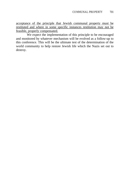acceptance of the principle that Jewish communal property must be restituted and where in some specific instances restitution may not be feasible, properly compensated.

We expect the implementation of this principle to be encouraged and monitored by whatever mechanism will be evolved as a follow-up to this conference. This will be the ultimate test of the determination of the world community to help restore Jewish life which the Nazis set out to destroy.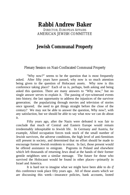# **Rabbi Andrew Baker** DIRECTOR, EUROPEAN AFFAIRS

AMERICAN JEWISH COMMITTEE

# **Jewish Communal Property**

#### Plenary Session on Nazi-Confiscated Communal Property

"Why now?" seems to be the question that is most frequently asked. After fifty years have passed, why now is so much attention being given to the question of Holocaust assets. Why now is this conference taking place? Each of us is, perhaps, both asking and being asked this question. There are many answers to "Why now," but no single answer serves to explain it. The passing of eye-witnessed events into history; the last opportunity to address the injustices of the survivor generation; the popularizing through movies and television of stories once ignored; the need to get things straight before the close of the century? We may not be able to answer the question, Why now?, with any satisfaction, but we should be able to say what *now* we can do about it.

Fifty years ago, after the Nazis were defeated it was fair to conclude that much of Central and Eastern Europe would remain irredeemably inhospitable to Jewish life. In Germany and Austria, for example, Allied occupation forces took stock of the small number of Jewish survivors, the adverse conditions, the high level of anti-Semitism still present in society, and determined that no effort should be made to encourage former Jewish residents to return. In fact, those present would be offered assistance to emigrate. Pogroms in Poland and elsewhere which left thousands of returning Jews dead at the hands of their former gentile neighbors sent a similar message. The future for those who survived the Holocaust would be found in other places—primarily in Israel and America.

It is hard not to imagine what we might have been able to do *if* this conference took place fifty years ago. All of those assets which we are discussing this week—insurance policies, bank accounts, looted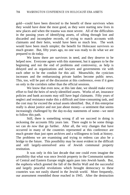gold—could have been directed to the benefit of these survivors when they would have done the most good, as they were starting new lives in new places and when the trauma was most severe. All of the difficulties in the passing years of identifying assets, of sifting through lost and discarded and incomplete records, of trying to match accounts with claimants and their heirs, would have been so much less. The work would have been much simpler; the benefit for Holocaust survivors so much greater. But, fifty years ago, no one was ready to do what we are prepared to do today.

We know there are survivors in need, and they deserve to be helped now. Everyone agrees with this statement, but it appears to be the beginning and not the end of problems and controversy, as help is delayed and as organizations and lawyers and governments vie with each other to be the conduit for this aid. Meanwhile, the cynicism increases and the embarrassing private battles become public news. This, too, will be part of the discussion at this conference, even if it goes on only in the corridors rather than the official sessions.

We know that even now, at this late date, we should make every effort to find the heirs of newly-identified assets. Works of art, insurance policies and bank accounts may still have legal claimants. Fifty years of neglect and resistance make this a difficult and time-consuming task, and the cost may far exceed the actual assets identified. But, if this enterprise really is about justice and not just about money—a sentiment that seems increasingly challenged by the day-to-day statements of some—we need to follow this path.

Still, there is something wrong if all we succeed in doing is reckoning the accounts fifty years late. There ought to be some things we can do *now* that go further. After all, the very changes that have occurred in many of the countries represented at this conference are much greater than just open archives and a willingness to look at history. The problems we are examining and trying to redress can also be a bridge to the future. This possibility may be most evident in the difficult and still largely-unresolved area of Jewish communal property restitution.

It was only in this last decade that one could even imagine the possibility that what was once Jewish property in the Communist nations of Central and Eastern Europe might again pass into Jewish hands. But, the euphoria which greeted the fall of the Berlin Wall and the successful and largely peaceful revolutions which brought democracy to these countries was not easily shared in the Jewish world. More frequently, our assessment resembled those reached in 1945. After the destruction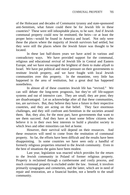of the Holocaust and decades of Communist tyranny and state-sponsored anti-Semitism, what future could there be for Jewish life in these countries? These were still inhospitable places, to be sure. And if Jewish communal property could now be restituted, the heirs—or at least the proper heirs—would be found in America and Israel. Not only were these the places where the majority of Jewish survivors had settled, but they were still the places where the Jewish future was thought to be located.

In these last half-dozen years we have acted in various and contradictory ways. We have provided support for the communal, religious and educational revival of Jewish life in Central and Eastern Europe, and we have encouraged the brightest of them to make *aliyah* to Israel. We have put political and moral pressure on their governments to restitute Jewish property, and we have fought with local Jewish communities over this property.In the meantime, very little has happened in the area of restitution, but a great deal has happened nonetheless.

In almost all of these countries Jewish life has "revived." We can still debate the long-term prognosis, but they're off life-support systems and out of intensive care. They are small; they are poor; they are disadvantaged. Let us acknowledge after all that these communities, too, are *survivors*. But, they believe they have a future in their respective countries, and they are acting on that belief. They face enormous challenges, and they still confront anti-Semitism in the societies around them. But, they also, for the most part, have governments that want to see them succeed. And they have at least some fellow citizens who believe it is in their own best interests to build a pluralist society in which Jews and other minorities can feel at home.

However, their survival will depend on their resources. And these resources will need to come from the restitution of communal property. So far, the efforts have been difficult and the results have been disappointing. In some countries we have seen only a handful of formerly religious properties returned to the Jewish community. Even in the best of situations the gains have been modest.

Last year, legislation was enacted which provides for the return to the Jewish community in Poland of former religious property. Property is reclaimed through a cumbersome and costly process, and much communal property is excluded under the law. Instead, it involves primarily synagogues and cemeteries, and the latter, which are in need of repair and restoration, are a financial burden, not a benefit to the small community.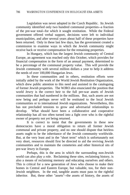Legislation was never adopted in the Czech Republic. Its Jewish community identified only two hundred communal properties--a fraction of the pre-war total--for which it sought restitution. While the Federal government offered verbal support, decisions were left to individual municipalities, and after several years about half of these properties have been returned. Only in these last few days, has the government created a commission to examine ways in which the Jewish community might receive back or receive compensation for the remaining properties.

In Hungary, which has the largest Jewish community of Central Europe, an agreement was reached only this October, which provides for financial compensation in the form of an annual payment, determined to be a percentage of the communal property value. This will provide the Jewish community with several million dollars a year to help it address the needs of over 100,000 Hungarian Jews.

In these communities and in others, restitution efforts were initially aided by the work of the World Jewish Restitution Organization, which drew public attention to this need and assisted in the cataloguing of former Jewish properties. The WJRO also enunciated the position that world Jewry is the correct heir to the full pre-war assets of Jewish communities that had numbered in the millions. But, such assets are not now being and perhaps never will be restituted to the local Jewish communities or to international Jewish organizations. Nevertheless, this has not precluded tensions to grow and adversarial relationships to develop. What should have been a collaborative and cooperative relationship has all too often turned into a fight over who is the rightful owner of property not yet being returned.

It is correct to insist that the governments in these new democracies have a moral obligation to return all former Jewish communal and private property, and no one should dispute that heirless assets ought to be the inheritance of the Jewish community worldwide. But, at the very least and in the "short term" which is unfortunately not very short, resources should first be directed to aid the reviving Jewish communities and to maintain the cemeteries and other historical sits of pre-war Jewry in Europe.

Perhaps, this is the area in which the surrounding non-Jewish world can also play a role. Reclaiming these sites, reclaiming history, is also a means of reclaiming memory and educating ourselves and others. This is critical for a new generation of Jews who choose to make their homes in Central and Eastern Europe, but valuable, too, for their non-Jewish neighbors. In the end, tangible assets must pass to the rightful inheritor. But, these other "assets"--the assets of history, the assets of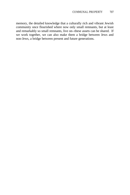memory, the detailed knowledge that a culturally rich and vibrant Jewish community once flourished where now only small remnants, but at least and remarkably so small remnants, live on--these assets can be shared. If we work together, we can also make them a bridge between Jews and non-Jews, a bridge between present and future generations.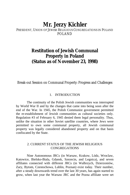# **Mr. Jerzy Kichler**

#### PRESIDENT, UNION OF JEWISH RELIGIOUS CONGREGATIONS IN POLAND POLAND

# **Restitution of Jewish Communal Property in Poland (Status as of November 23, 1998)**

Break-out Session on Communal Property: Progress and Challenges

#### 1. INTRODUCTION

The continuity of the Polish Jewish communities was interrupted by World War II and by the changes that came into being soon after the end of the War. In 1945, the Polish Communist government permitted the re-establishment of Jewish communities as cultural societies only. Regulation #3 of February 6, 1945 denied them legal personality. Thus, unlike the situation in other Soviet satellite countries, where Jews were permitted to own some communal property, all Jewish communal property was legally considered abandoned property and on that basis confiscated by the State.

#### 2. CURRENT STATUS OF THE JEWISH RELIGIOUS CONGREGATIONS

Nine Autonomous JRCs (in Warsaw, Krakow, Lódz, Wroclaw, Katowice, Bielsko-Biala, Gdansk, Szezecin, and Legnica), and seven affiliates connected with different JRCs (in Walbrzych, Dzierzoniów, Zary, Bytom, Czestochowa, Lublin, Poznan) exist today. Their number, after a steady downwards trend over the last 30 years, has again started to grow, when last year the Warsaw JRC and the Pozna affiliate were set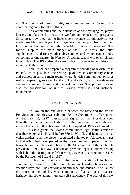up. The Union of Jewish Religious Communities in Poland is a coordinating body for all the JRCs.

The Communities and their affiliates operate synagogues, prayer houses, and kosher kitchens, run welfare and educational programs. Since up to now they had no independent revenue, all this activity was made possible through grant and organizational support from the Joint Distribution Committee and the Ronald S. Lauder Foundation. The former supplies the main budget of the JRCs, while the latter supplements it and runs youth clubs, summer and winter camps and a school and a kindergarten in Warsaw. A second school will open this fall in Wroclaw. The JRCs also take care of Jewish cemeteries and historical monuments they have title to.

There Union has prepared a program of reviving of Jewish life in Poland, which postulates the setting up of Jewish Community centers and schools in all the main towns where Jewish communities exist, as well as expanding services for the sick and elderly, with new day-care centers, retirement homes and medical facilities. The program covers also the preservation of unused Jewish cemeteries and historical monuments.

#### 3. LEGAL SITUATION

The Law on the relationship between the State and the Jewish Religious communities was submitted by the Government to Parliament on February 20, 1997, passed and signed by the President soon thereafter, and effective as of May 11 of the same year. It was published in the Official Gazette (Dziennik Ustaw) on April 24, 1997 as Item #41.

This law grants the Jewish communities legal status similar to that they enjoyed in Poland before World War II, and identical tot hat which applies to all the eleven recognized cults today. All relevant laws to that effect had been passed in the post-Communist period, the first being that on the relationship between the State and the Catholic church, passed in 1989. This law is based on previous legal solutions dealing with kehilloth existing on Polish territory, especially a regulation issued by the President of Poland in 1927.

This law deals mainly with the issues of taxation of the Jewish community, the status of Rabbis and Hazzanim, Jewish holidays as paid vacation days, etc. It has historical significance, inasmuch as it will allow the return to the Polish Jewish community of a part of its material heritage, thereby enabling it greater self-sufficiency. The goal of this law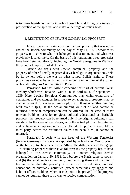is to make Jewish continuity in Poland possible, and to regulate issues of preservation of the spiritual and material heritage of Polish Jews.

#### 3. RESTITUTION OF JEWISH COMMUNAL PROPERTY

In accordance with Article 29 of the law, property that was in the use of the Jewish community on the day of May 11, 1997, becomes its property, no matter to whom it belonged at that moment, and what was previously located there. On the basis of this regulation, three properties have been returned already, including the Nozyk Synagogue in Warsaw, the premier temple of Polish Judaism.

Article 30 deals with Jewish communal property and the property of other formally registered Jewish religious organizations, held by its owners before the war on what is now Polish territory. These properties can now be reclaimed by member communities of the Union of Jewish Religious Communities in Poland.

Paragraph 1of that Article concerns that part of current Polish territory which was contained within Polish borders as of September 1, 1939. Here, Jewish Religious Communities may claim ownership of cemeteries and synagogues. In respect to synagogues, a property may be claimed even if it is now an empty plot or if there is another building built over it (p.1). If the actual building or plot of land cannot be returned, financial compensation can be offered. In the case of other relevant buildings used for religious, cultural, educational or charitable purposes, the property can be returned only if the original building is still standing. In the case of cemeteries, only the actual plot can be returned and no financial compensation will be offered. If a property was sold to a third party before the restitution claim had been filed, it cannot be returned.

Paragraph 2 deals with the issue of the Western Territories (former Germany) that were incorporated by Poland after World War II on the basis of treaties made by the Allies. The difference with Paragraph 1 in claiming properties there is as follows: (a) the property has to have belonged to the Jewish community, or another religious Jewish organization on January 30, 1933, i.e., before the Nazis came to power; and (b) the local Jewish community now existing there and claiming it has to prove that the property will be used for religious, cultural, educational or charitable activities (except cemeteries, synagogues and kehillot offices buildings where it must not to be proved). If the property cannot be returned, there is no way to receive compensation.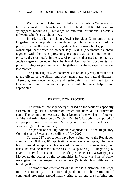With the help of the Jewish Historical Institute in Warsaw a list has been made of Jewish cemeteries (about 1,000), still existing synagogues (about 300), buildings of different institutions: hospitals, mikvaot, schools, etc. (about 100).

In order to file their claims, Jewish Religious Communities have to gather the appropriate documentation: proofs of legal status of the property before the war (maps, registers, land registry books, proofs of ownership); certificates of present legal status (documents as above together with the maps presenting changes that came into being – property division, etc.). In the case of properties that used to belong to a Jewish organization other than the Jewish Community, documents that prove its religious purpose have to be gathered (statutes, experts opinion, testimonies).

The gathering of such documents is obviously very difficult due to the effects of the Shoah and other man-made and natural disasters. Therefore, any documentation and testimonies that will lead to the location of Jewish communal property will be very helpful and appreciated.

#### 4. RESTITUTION PROCESS

The return of Jewish property is based on the work of a specially assembled Regulation Commission which functions as an arbitration court. The commission was set up by a Decree of the Minister of Internal Affairs and Administration on October 10, 1997. Its body is composed of six people (three from the said Ministry and three from the Union of Jewish religious Communities).

The period of sending complete applications to the Regulatory Commission is 5 years; the deadline is May 2002.

To date, 217 applications have been submitted to the Regulation commission. Of those, 182 applications have been acted upon, other have been returned to applicant because of incomplete documentation, and decisions have been made in the case of 23 (positively 16, negatively 6, given to voivoda decision  $1$ ) – including 5 cemeteries, 8 synagogues. Moreover, the boards of the communities in Warsaw and in Wroclaw were given by the respective Governors (Voivods) legal title to the buildings they use.

The proper implementation of the law is a historical challenge for the community – our future depends on it. The restitution of communal properties should finally bring to an end the suffering and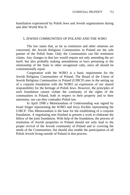humiliation experienced by Polish Jews and Jewish organizations during and after World War II.

#### 5. JEWISH COMMUNITIES OF POLAND AND THE WJRO

The law states that, as far as restitution and other relations are concerned, the Jewish Religious Communities in Poland are the sole partner of the Polish State. Only the Communities can file restitution claims. Any changes to that law would require not only amending the act itself, but also probably making amendments to laws pertaining to the relationship of the State to other recognized cults, since all should be constitutionally equal.

Cooperation with the WJRO is a basic requirement for the Jewish Religious Communities of Poland. The Board of the Union of Jewish Religious Communities in Poland (UJRCP) sees in the setting up of a conjoint foundation with the WJRO an expression of our shared responsibility for the heritage of Polish Jews. However, the principles of such foundation cannot violate the continuity of the rights of the communities in Poland, both in respect to their property and to their autonomy, nor can they contradict Polish law.

In April 1998 a Memorandum of Understanding was signed by Israel Singer representing the WJRO and Jerzy Kichler representing the UJRCP. This Memorandum is the base for the establishing of a conjoint foundation. A negotiating tem finished at present a work to elaborate the billow of the joint foundation. With help of the foundation, the process of restitution of Jewish properties in Poland should not only lead to the proper revival of the Jewish community of Poland and to covering the needs of the Communities, but should also enable the participation of all Polish Jewish living outside of Poland in that process.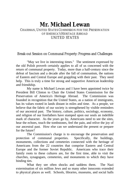## **Mr. Michael Lewan** CHAIRMAN, UNITED STATES COMMISSION FOR THE PRESERVATION OF AMERICA'S HERITAGE ABROAD UNITED STATES

#### Break-out Session on Communal Property: Progress and Challenges

"May we live in interesting times." The sentiment expressed by the old Polish proverb certainly applies to all of us concerned with the return of communal property. Today, more than a half-century since the defeat of fascism and a decade after the fall of communism, the nations of Eastern and Central Europe and grappling with their past. They need help. This is truly a time for strong and supportive American leadership and friendship.

My name is Michael Lewan and I have been appointed twice by President Bill Clinton to Chair the United States Commission for the Preservation of America's Heritage Abroad. The Commission was founded in recognition that the United States, as a nation of immigrants, has its values rooted in lands distant in miles and time. As a people, we believe that the fabric of our society is strengthened by visible reminders of our ancestral past. The history, culture, politics, sociology, economy, and religion of our forefathers have stamped upon our souls an indelible mark of character. As the years go by, Americans need to see the sites, hear the echoes, touch the tombstones, feel the pain, and relive the joy of our ancestral past. How else can we understand the present or prepare for the future?

The Commission's charge is to encourage the preservation and protection of communal properties. Specifically, the buildings, monuments, collections and cemeteries connected with the heritage of Americans from the 22 countries that comprise Eastern and Central Europe and the former Soviet Republic. Americans who trace their family roots to these cultures are, for the first time, able to visit the churches, synagogues, cemeteries, and monuments to which they have binding ties.

What they see often shocks and saddens them. The Nazi extermination of six million Jews and so many other innocents extended to physical places as well. Schools, libraries, museums, and social halls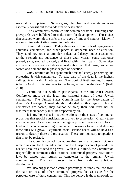were all expropriated. Synagogues, churches, and cemeteries were especially sought out for vandalism or destruction.

The Communists continued this wanton behavior. Buildings and graveyards were bulldozed to make room for development. Those sites that escaped were left to suffer the ravages of time and natures. Many, if not most, important sites passed into oblivion.

Some did survive. Today there exist hundreds of synagogues, churches, cemeteries, and other places in desperate need of attention. They stand now not as a reminder of death and decay, but as a testament to the strength and substance of those vital, vibrant souls that once prayed, sang, studied, danced, and lived within their walls. Some sites are artistic treasures and deserve restoration on that basis, some are sacred and demand the highest degree of devotion.

Our Commission has spent much time and energy preserving and protecting Jewish cemeteries. To take care of the dead is the highest calling. A mitzvah. An obligation. The Book of Ruth teaches, "Blessed is he by God, for his kindness to the living as well as the dead." (Ruth  $2:20$ ).

Central to our work as participants in the Holocaust Assets Conference must be the legal and spiritual status of these Jewish cemeteries. The United States Commission for the Preservation of America's Heritage Abroad stands undivided in this regard. Jewish cemeteries are sacred; they cannot be sold; their soil must not be disturbed; their sanctity must be respected by all.

It is my hope that in its deliberations on the status of communal properties that special consideration is given to cemeteries. Clearly there are challenges. As economies of the region prosper, these sacred plots of land will become increasingly valuable. Pressures to sell and develop these sites will grow. Legitimate social service needs will be held as a reason to destroy these old graveyards. These are monetary temptations that must be resisted.

The Commission acknowledges that few if any Jewish citizens remain to care for these sites, and that the Diaspora cannot provide the needed resources to tend the graves. With this in mind, the Commission respectfully recommends that "national communal property restitution" laws be passed that returns all cemeteries to the remnant Jewish communities. This will protect them from sale or unbridled development.

We also suggest that a certain percentage of funds realized from the sale or lease of other communal property be set aside for the perpetual care of these cemeteries. This we believe is the framework for